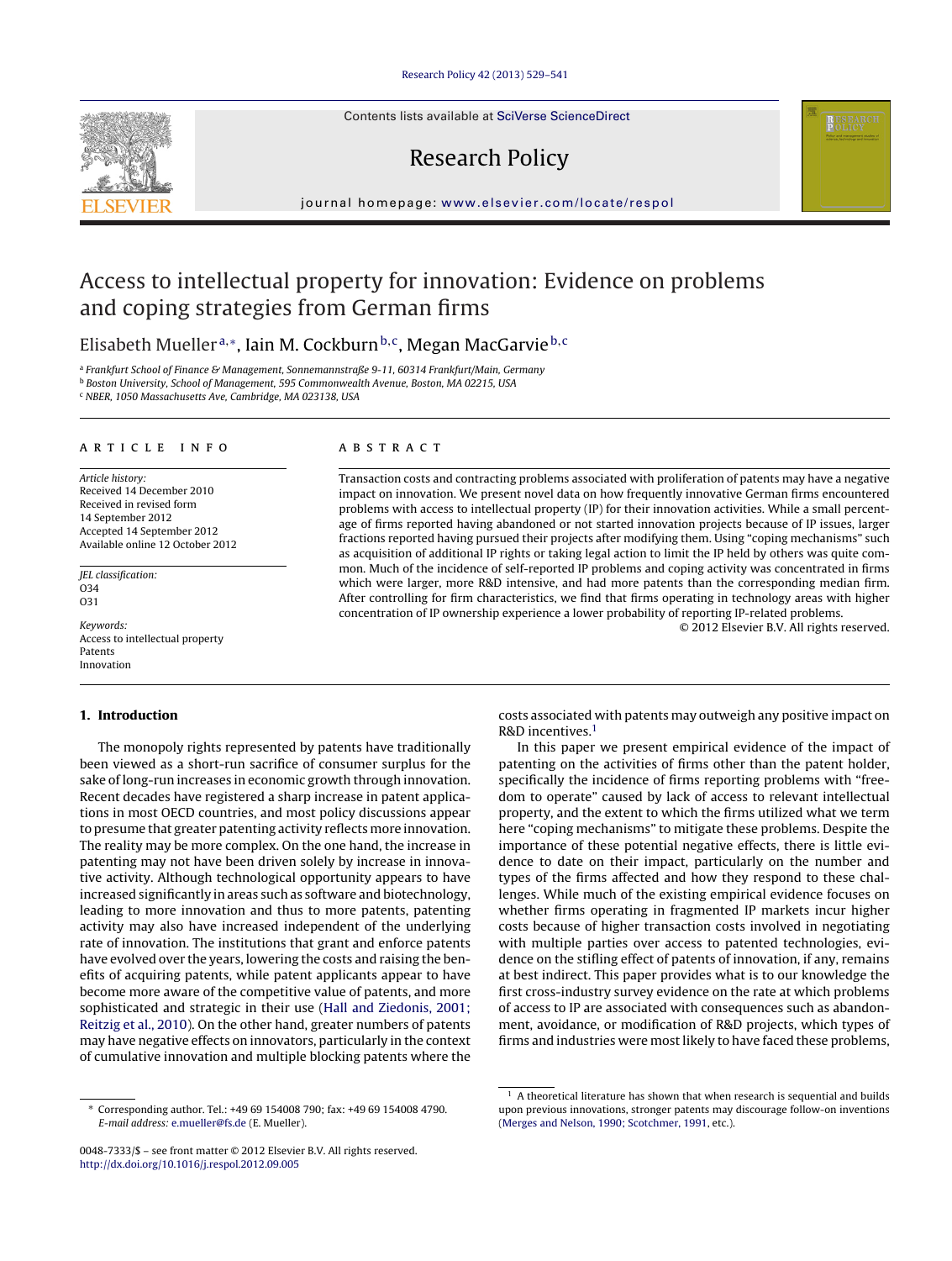Contents lists available at SciVerse [ScienceDirect](http://www.sciencedirect.com/science/journal/00487333)

# Research Policy

jour nal homepage: [www.elsevier.com/locate/respol](http://www.elsevier.com/locate/respol)

# Access to intellectual property for innovation: Evidence on problems and coping strategies from German firms

Elisabeth Mueller<sup>a,\*</sup>, Iain M. Cockburn<sup>b,c</sup>, Megan MacGarvie b,c

a Frankfurt School of Finance & Management, Sonnemannstraße 9-11, 60314 Frankfurt/Main, Germany

<sup>b</sup> Boston University, School of Management, 595 Commonwealth Avenue, Boston, MA 02215, USA <sup>c</sup> NBER, 1050 Massachusetts Ave, Cambridge, MA 023138, USA

### a r t i c l e i n f o

Article history: Received 14 December 2010 Received in revised form 14 September 2012 Accepted 14 September 2012 Available online 12 October 2012

JEL classification: O34 O31

Keywords: Access to intellectual property Patents Innovation

## **1. Introduction**

The monopoly rights represented by patents have traditionally been viewed as a short-run sacrifice of consumer surplus for the sake of long-run increases in economic growth through innovation. Recent decades have registered a sharp increase in patent applications in most OECD countries, and most policy discussions appear to presume that greater patenting activity reflects more innovation. The reality may be more complex. On the one hand, the increase in patenting may not have been driven solely by increase in innovative activity. Although technological opportunity appears to have increased significantly in areas such as software and biotechnology, leading to more innovation and thus to more patents, patenting activity may also have increased independent of the underlying rate of innovation. The institutions that grant and enforce patents have evolved over the years, lowering the costs and raising the benefits of acquiring patents, while patent applicants appear to have become more aware of the competitive value of patents, and more sophisticated and strategic in their use ([Hall](#page--1-0) [and](#page--1-0) [Ziedonis,](#page--1-0) [2001;](#page--1-0) [Reitzig](#page--1-0) et [al.,](#page--1-0) [2010\).](#page--1-0) On the other hand, greater numbers of patents may have negative effects on innovators, particularly in the context of cumulative innovation and multiple blocking patents where the

## A B S T R A C T

Transaction costs and contracting problems associated with proliferation of patents may have a negative impact on innovation. We present novel data on how frequently innovative German firms encountered problems with access to intellectual property (IP) for their innovation activities. While a small percentage of firms reported having abandoned or not started innovation projects because of IP issues, larger fractions reported having pursued their projects after modifying them. Using "coping mechanisms" such as acquisition of additional IP rights or taking legal action to limit the IP held by others was quite common. Much of the incidence of self-reported IP problems and coping activity was concentrated in firms which were larger, more R&D intensive, and had more patents than the corresponding median firm. After controlling for firm characteristics, we find that firms operating in technology areas with higher concentration of IP ownership experience a lower probability of reporting IP-related problems.

© 2012 Elsevier B.V. All rights reserved.

costs associated with patents may outweigh any positive impact on R&D incentives.1

In this paper we present empirical evidence of the impact of patenting on the activities of firms other than the patent holder, specifically the incidence of firms reporting problems with "freedom to operate" caused by lack of access to relevant intellectual property, and the extent to which the firms utilized what we term here "coping mechanisms" to mitigate these problems. Despite the importance of these potential negative effects, there is little evidence to date on their impact, particularly on the number and types of the firms affected and how they respond to these challenges. While much of the existing empirical evidence focuses on whether firms operating in fragmented IP markets incur higher costs because of higher transaction costs involved in negotiating with multiple parties over access to patented technologies, evidence on the stifling effect of patents of innovation, if any, remains at best indirect. This paper provides what is to our knowledge the first cross-industry survey evidence on the rate at which problems of access to IP are associated with consequences such as abandonment, avoidance, or modification of R&D projects, which types of firms and industries were most likely to have faced these problems,



<sup>∗</sup> Corresponding author. Tel.: +49 69 154008 790; fax: +49 69 154008 4790. E-mail address: [e.mueller@fs.de](mailto:e.mueller@fs.de) (E. Mueller).

<sup>0048-7333/\$</sup> – see front matter © 2012 Elsevier B.V. All rights reserved. [http://dx.doi.org/10.1016/j.respol.2012.09.005](dx.doi.org/10.1016/j.respol.2012.09.005)

 $1$  A theoretical literature has shown that when research is sequential and builds upon previous innovations, stronger patents may discourage follow-on inventions ([Merges](#page--1-0) [and](#page--1-0) [Nelson,](#page--1-0) [1990;](#page--1-0) [Scotchmer,](#page--1-0) [1991,](#page--1-0) etc.).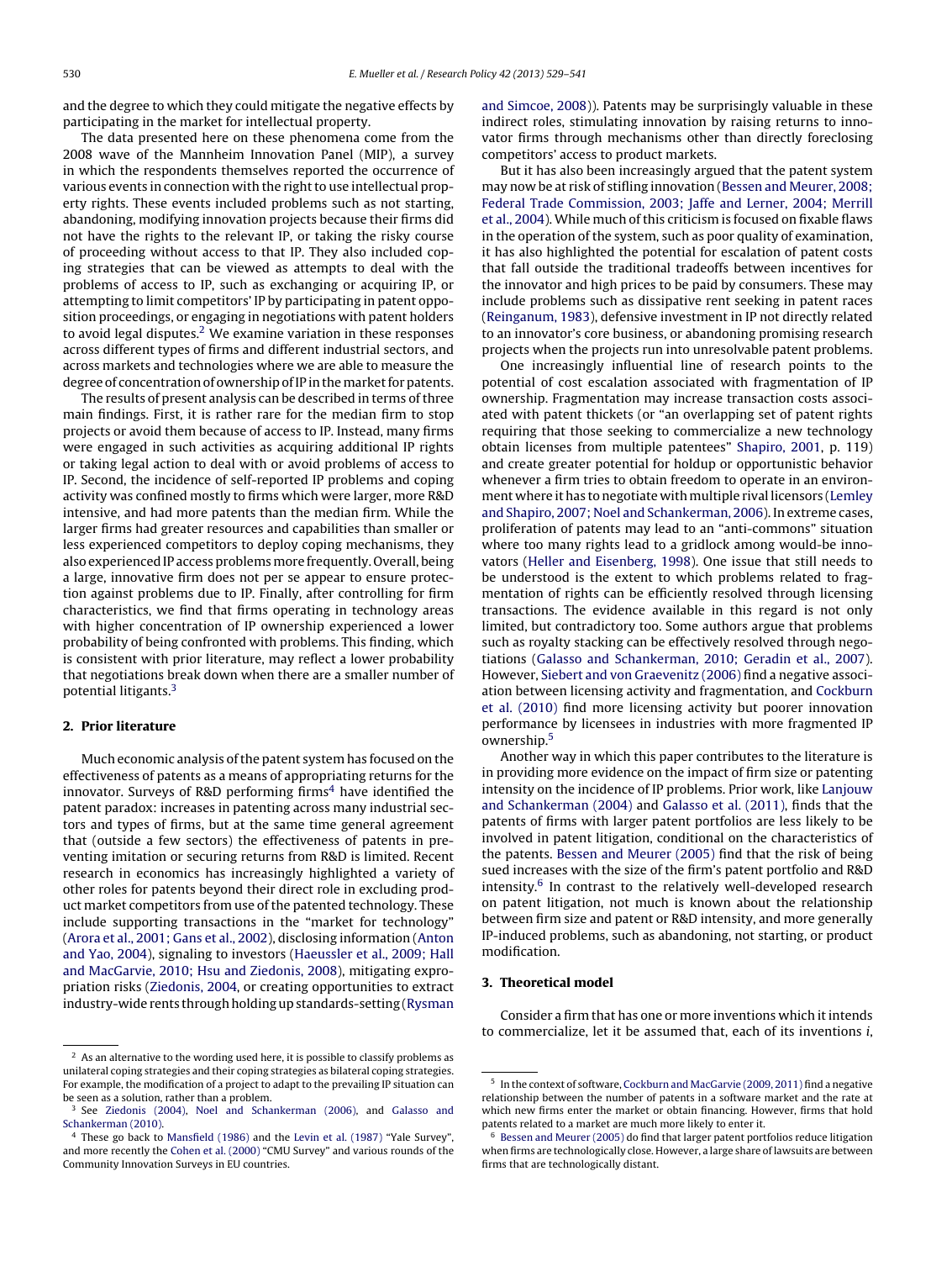and the degree to which they could mitigate the negative effects by participating in the market for intellectual property.

The data presented here on these phenomena come from the 2008 wave of the Mannheim Innovation Panel (MIP), a survey in which the respondents themselves reported the occurrence of various events in connection with the right to use intellectual property rights. These events included problems such as not starting, abandoning, modifying innovation projects because their firms did not have the rights to the relevant IP, or taking the risky course of proceeding without access to that IP. They also included coping strategies that can be viewed as attempts to deal with the problems of access to IP, such as exchanging or acquiring IP, or attempting to limit competitors' IP by participating in patent opposition proceedings, or engaging in negotiations with patent holders to avoid legal disputes.<sup>2</sup> We examine variation in these responses across different types of firms and different industrial sectors, and across markets and technologies where we are able to measure the degree of concentration of ownership of IP in the market for patents.

The results of present analysis can be described in terms of three main findings. First, it is rather rare for the median firm to stop projects or avoid them because of access to IP. Instead, many firms were engaged in such activities as acquiring additional IP rights or taking legal action to deal with or avoid problems of access to IP. Second, the incidence of self-reported IP problems and coping activity was confined mostly to firms which were larger, more R&D intensive, and had more patents than the median firm. While the larger firms had greater resources and capabilities than smaller or less experienced competitors to deploy coping mechanisms, they also experienced IP access problems more frequently. Overall, being a large, innovative firm does not per se appear to ensure protection against problems due to IP. Finally, after controlling for firm characteristics, we find that firms operating in technology areas with higher concentration of IP ownership experienced a lower probability of being confronted with problems. This finding, which is consistent with prior literature, may reflect a lower probability that negotiations break down when there are a smaller number of potential litigants.3

#### **2. Prior literature**

Much economic analysis of the patent system has focused on the effectiveness of patents as a means of appropriating returns for the innovator. Surveys of R&D performing firms<sup>4</sup> have identified the patent paradox: increases in patenting across many industrial sectors and types of firms, but at the same time general agreement that (outside a few sectors) the effectiveness of patents in preventing imitation or securing returns from R&D is limited. Recent research in economics has increasingly highlighted a variety of other roles for patents beyond their direct role in excluding product market competitors from use of the patented technology. These include supporting transactions in the "market for technology" ([Arora](#page--1-0) et [al.,](#page--1-0) [2001;](#page--1-0) [Gans](#page--1-0) et [al.,](#page--1-0) [2002\),](#page--1-0) disclosing information [\(Anton](#page--1-0) [and](#page--1-0) [Yao,](#page--1-0) [2004\),](#page--1-0) signaling to investors ([Haeussler](#page--1-0) et [al.,](#page--1-0) [2009;](#page--1-0) [Hall](#page--1-0) [and](#page--1-0) [MacGarvie,](#page--1-0) [2010;](#page--1-0) [Hsu](#page--1-0) [and](#page--1-0) [Ziedonis,](#page--1-0) [2008\),](#page--1-0) mitigating expropriation risks [\(Ziedonis,](#page--1-0) [2004,](#page--1-0) or creating opportunities to extract industry-wide rents through holding up standards-setting [\(Rysman](#page--1-0)

[and](#page--1-0) [Simcoe,](#page--1-0) [2008\)\)](#page--1-0). Patents may be surprisingly valuable in these indirect roles, stimulating innovation by raising returns to innovator firms through mechanisms other than directly foreclosing competitors' access to product markets.

But it has also been increasingly argued that the patent system may now be at risk of stifling innovation ([Bessen](#page--1-0) [and](#page--1-0) [Meurer,](#page--1-0) [2008;](#page--1-0) [Federal](#page--1-0) [Trade](#page--1-0) [Commission,](#page--1-0) [2003;](#page--1-0) [Jaffe](#page--1-0) [and](#page--1-0) [Lerner,](#page--1-0) [2004;](#page--1-0) [Merrill](#page--1-0) et [al.,](#page--1-0) [2004\).](#page--1-0) While much ofthis criticism is focused on fixable flaws in the operation of the system, such as poor quality of examination, it has also highlighted the potential for escalation of patent costs that fall outside the traditional tradeoffs between incentives for the innovator and high prices to be paid by consumers. These may include problems such as dissipative rent seeking in patent races [\(Reinganum,](#page--1-0) [1983\),](#page--1-0) defensive investment in IP not directly related to an innovator's core business, or abandoning promising research projects when the projects run into unresolvable patent problems.

One increasingly influential line of research points to the potential of cost escalation associated with fragmentation of IP ownership. Fragmentation may increase transaction costs associated with patent thickets (or "an overlapping set of patent rights requiring that those seeking to commercialize a new technology obtain licenses from multiple patentees" [Shapiro,](#page--1-0) [2001,](#page--1-0) p. 119) and create greater potential for holdup or opportunistic behavior whenever a firm tries to obtain freedom to operate in an environment where it has to negotiate with multiple rival licensors [\(Lemley](#page--1-0) [and](#page--1-0) [Shapiro,](#page--1-0) [2007;](#page--1-0) [Noel](#page--1-0) [and](#page--1-0) [Schankerman,](#page--1-0) [2006\).](#page--1-0) In extreme cases, proliferation of patents may lead to an "anti-commons" situation where too many rights lead to a gridlock among would-be innovators [\(Heller](#page--1-0) [and](#page--1-0) [Eisenberg,](#page--1-0) [1998\).](#page--1-0) One issue that still needs to be understood is the extent to which problems related to fragmentation of rights can be efficiently resolved through licensing transactions. The evidence available in this regard is not only limited, but contradictory too. Some authors argue that problems such as royalty stacking can be effectively resolved through negotiations ([Galasso](#page--1-0) [and](#page--1-0) [Schankerman,](#page--1-0) [2010;](#page--1-0) [Geradin](#page--1-0) et [al.,](#page--1-0) [2007\).](#page--1-0) However, [Siebert](#page--1-0) [and](#page--1-0) [von](#page--1-0) [Graevenitz](#page--1-0) [\(2006\)](#page--1-0) find a negative association between licensing activity and fragmentation, and [Cockburn](#page--1-0) et [al.](#page--1-0) [\(2010\)](#page--1-0) find more licensing activity but poorer innovation performance by licensees in industries with more fragmented IP ownership.5

Another way in which this paper contributes to the literature is in providing more evidence on the impact of firm size or patenting intensity on the incidence of IP problems. Prior work, like [Lanjouw](#page--1-0) [and](#page--1-0) [Schankerman](#page--1-0) [\(2004\)](#page--1-0) and [Galasso](#page--1-0) et [al.](#page--1-0) [\(2011\),](#page--1-0) finds that the patents of firms with larger patent portfolios are less likely to be involved in patent litigation, conditional on the characteristics of the patents. [Bessen](#page--1-0) [and](#page--1-0) [Meurer](#page--1-0) [\(2005\)](#page--1-0) find that the risk of being sued increases with the size of the firm's patent portfolio and R&D intensity.<sup>6</sup> In contrast to the relatively well-developed research on patent litigation, not much is known about the relationship between firm size and patent or R&D intensity, and more generally IP-induced problems, such as abandoning, not starting, or product modification.

#### **3. Theoretical model**

Consider a firm that has one or more inventions which it intends to commercialize, let it be assumed that, each of its inventions i,

 $^{\rm 2}$  As an alternative to the wording used here, it is possible to classify problems as unilateral coping strategies and their coping strategies as bilateral coping strategies. For example, the modification of a project to adapt to the prevailing IP situation can be seen as a solution, rather than a problem.

<sup>3</sup> See [Ziedonis](#page--1-0) [\(2004\),](#page--1-0) [Noel](#page--1-0) [and](#page--1-0) [Schankerman](#page--1-0) [\(2006\),](#page--1-0) and [Galasso](#page--1-0) [and](#page--1-0) [Schankerman](#page--1-0) [\(2010\).](#page--1-0)

<sup>4</sup> These go back to [Mansfield](#page--1-0) [\(1986\)](#page--1-0) and the [Levin](#page--1-0) et [al.](#page--1-0) [\(1987\)](#page--1-0) "Yale Survey", and more recently the [Cohen](#page--1-0) et [al.](#page--1-0) [\(2000\)](#page--1-0) "CMU Survey" and various rounds of the Community Innovation Surveys in EU countries.

<sup>5</sup> In the context of software, [Cockburn](#page--1-0) [and](#page--1-0) [MacGarvie](#page--1-0) [\(2009,](#page--1-0) [2011\)](#page--1-0) find a negative relationship between the number of patents in a software market and the rate at which new firms enter the market or obtain financing. However, firms that hold patents related to a market are much more likely to enter it.

 $^6\,$  [Bessen](#page--1-0) [and](#page--1-0) [Meurer](#page--1-0) [\(2005\)](#page--1-0) do find that larger patent portfolios reduce litigation when firms are technologically close. However, a large share of lawsuits are between firms that are technologically distant.